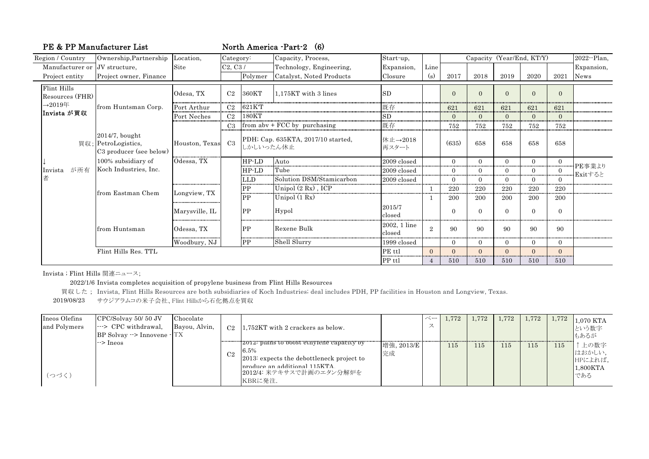| PE & PP Manufacturer List      |                                                                                    |                    | North America -Part-2 (6) |                |                                    |                        |                |                                          |          |          |                |                |                   |  |
|--------------------------------|------------------------------------------------------------------------------------|--------------------|---------------------------|----------------|------------------------------------|------------------------|----------------|------------------------------------------|----------|----------|----------------|----------------|-------------------|--|
| Region / Country               | Ownership, Partnership                                                             | Location,          | Category:                 |                | Capacity, Process,                 | Start-up,              |                | Capacity (Year/End, KT/Y)<br>2022--Plan, |          |          |                |                |                   |  |
| Manufacturer or JV structure.  |                                                                                    | Site               | C2, C3/                   |                | Technology, Engineering,           | Expansion,             | Line           |                                          |          |          |                |                | Expansion,        |  |
| Project entity                 | Project owner, Finance                                                             |                    |                           | Polymer        | Catalyst, Noted Products           | Closure                | $\mathbf{s}$   | 2017                                     | 2018     | 2019     | 2020           | 2021           | News              |  |
| Flint Hills<br>Resources (FHR) |                                                                                    | Odesa, TX          | C <sub>2</sub>            | 360KT          | 1.175KT with 3 lines               | <b>SD</b>              |                | $\Omega$                                 | $\Omega$ | $\Omega$ | $\Omega$       | $\Omega$       |                   |  |
| $\rightarrow 2019 \pm 1$       | from Huntsman Corp.                                                                | Port Arthur        | C <sub>2</sub>            | 621KT          |                                    | 既存                     |                | 621                                      | 621      | 621      | 621            | 621            |                   |  |
| Invista が買収                    |                                                                                    | Port Neches        | <br>C <sub>2</sub>        | 180KT          |                                    | .<br>SD                |                | $\Omega$                                 |          | $\Omega$ | $\overline{0}$ | $\Omega$       |                   |  |
|                                |                                                                                    |                    | C <sub>3</sub>            |                | from $abv + FCC$ by purchasing     | 既存                     |                | 752                                      | 752      | 752      | 752            | 752            |                   |  |
| が所有<br>Invista                 | $2014/7$ , bought<br>買収; PetroLogistics,<br>C3 producer (see below)                | Houston, Texas     | C <sub>3</sub>            | しかしいったん休止      | PDH; Cap. 635KTA, 2017/10 started, | 休止→2018<br>再スタート       |                | (635)                                    | 658      | 658      | 658            | 658            |                   |  |
|                                | 100% subsidiary of<br>Koch Industries, Inc.<br>lfrom Eastman Chem<br>from Huntsman | Odessa, TX         |                           | $HP$ -LD<br>   | Auto                               | 2009 closed            |                | $\Omega$                                 | $\Omega$ | $\Omega$ | $\Omega$       | $\overline{0}$ |                   |  |
|                                |                                                                                    |                    |                           | $HP$ -LD<br>   | Tube                               | 2009 closed            |                | <br>0                                    |          |          | .<br>$\Omega$  |                | PE事業より<br>Exitすると |  |
| 者                              |                                                                                    |                    |                           | <b>LLD</b><br> | Solution DSM/Stamicarbon           | 2009 closed            |                | $\Omega$                                 | $\Omega$ | $\Omega$ | $\Omega$       | <br>0          |                   |  |
|                                |                                                                                    | Longview, TX       |                           | PP<br>         | Unipol (2 Rx), ICP                 |                        |                | 220                                      | 220      | 220      | 220            | 220            |                   |  |
|                                |                                                                                    |                    |                           | PP             | Unipol $(1 \text{ Rx})$            |                        |                | 200                                      | 200      | 200      | 200            | 200            |                   |  |
|                                |                                                                                    | Marysville, IL<br> |                           | PP             | Hypol                              | 2015/7<br>closed       |                | $\overline{0}$                           | $\Omega$ | $\Omega$ | $\Omega$       | $\overline{0}$ |                   |  |
|                                |                                                                                    | Odessa, TX         |                           | <b>PP</b>      | Rexene Bulk                        | 2002, 1 line<br>closed | $\overline{2}$ | 90                                       | 90       | 90       | 90             | 90             |                   |  |
|                                |                                                                                    | <br>Woodbury, NJ   |                           | ------<br>PP   | Shell Slurry                       | 1999 closed            |                | $\overline{0}$                           | $\Omega$ | $\theta$ | $\Omega$       | $\theta$       |                   |  |
|                                | Flint Hills Res. TTL                                                               |                    |                           |                |                                    | PE ttl                 | $\Omega$       | $\Omega$                                 | $\Omega$ | $\Omega$ | $\Omega$       | $\Omega$<br>   |                   |  |
|                                |                                                                                    |                    |                           |                |                                    | PP ttl                 |                | 510                                      | 510      | 510      | 510            | 510            |                   |  |

Invista ; Flint Hills 関連ニュース;

2022/1/6 Invista completes acquisition of propylene business from Flint Hills Resources

買収した; Invista, Flint Hills Resources are both subsidiaries of Koch Industries; deal includes PDH, PP facilities in Houston and Longview, Texas.

2019/08/23 サウジアラムコの米子会社、Flint Hillsから石化拠点を買収

| Ineos Olefins<br>and Polymers | $CPC/Solvay 50/50$ JV<br>$\left  \cdots \right $ CPC withdrawal,<br>$BP$ Solvay $\rightarrow$ Innovene $\cdot$ TX | Chocolate<br>Bayou, Alvin, |                | $C2$ 1.752KT with 2 crackers as below.                                                                                                                                         |                  | ベーー<br>ス | 1.772 | 1.772 | 1.772 | 1.772 | 1,772 | 1,070 KTA<br>という数字<br>もあるが                   |
|-------------------------------|-------------------------------------------------------------------------------------------------------------------|----------------------------|----------------|--------------------------------------------------------------------------------------------------------------------------------------------------------------------------------|------------------|----------|-------|-------|-------|-------|-------|----------------------------------------------|
| (つづく)                         | $\rightarrow$ Ineos                                                                                               |                            | C <sub>2</sub> | "2012" plans to boost etnylene capacity by<br>6.5%<br>2013: expects the debottleneck project to<br>$\ln$ roduce an additional 115 $KTA$<br>2012/4: 米テキサスで計画のエタン分解炉を<br>KBRに発注. | 増強, 2013/E<br>完成 |          | 115   | 115   | 115   | 115   | 115   | 上の数字<br>はおかしい,<br>HPによれば,<br>1,800KTA<br>である |